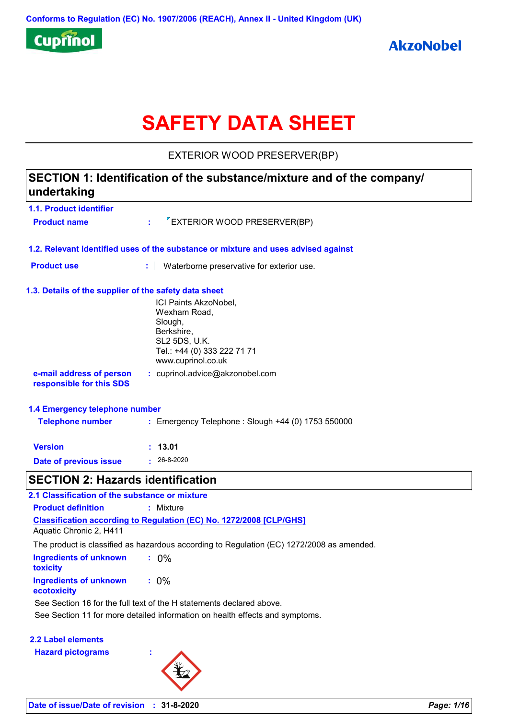

# **SAFETY DATA SHEET**

EXTERIOR WOOD PRESERVER(BP)

# **SECTION 1: Identification of the substance/mixture and of the company/ undertaking**

| 1.1. Product identifier                               |                                                                                    |  |  |
|-------------------------------------------------------|------------------------------------------------------------------------------------|--|--|
| <b>Product name</b>                                   | "EXTERIOR WOOD PRESERVER(BP)<br>t.                                                 |  |  |
|                                                       | 1.2. Relevant identified uses of the substance or mixture and uses advised against |  |  |
| <b>Product use</b>                                    | ÷.<br>Waterborne preservative for exterior use.                                    |  |  |
| 1.3. Details of the supplier of the safety data sheet |                                                                                    |  |  |
|                                                       | ICI Paints AkzoNobel,                                                              |  |  |
|                                                       | Wexham Road,<br>Slough,                                                            |  |  |
|                                                       | Berkshire,                                                                         |  |  |
|                                                       | SL2 5DS, U.K.                                                                      |  |  |
|                                                       | Tel.: +44 (0) 333 222 71 71<br>www.cuprinol.co.uk                                  |  |  |
| e-mail address of person<br>responsible for this SDS  | : cuprinol.advice@akzonobel.com                                                    |  |  |
| 1.4 Emergency telephone number                        |                                                                                    |  |  |
| <b>Telephone number</b>                               | : Emergency Telephone : Slough +44 (0) 1753 550000                                 |  |  |
| <b>Version</b>                                        | : 13.01                                                                            |  |  |
| Date of previous issue                                | $: 26 - 8 - 2020$                                                                  |  |  |
| <b>SECTION 2: Hazards identification</b>              |                                                                                    |  |  |

| 2.1 Classification of the substance or mixture                                                        |
|-------------------------------------------------------------------------------------------------------|
| <b>Product definition</b><br>: Mixture                                                                |
| <b>Classification according to Regulation (EC) No. 1272/2008 [CLP/GHS]</b><br>Aquatic Chronic 2, H411 |
| The product is classified as hazardous according to Regulation (EC) 1272/2008 as amended.             |
| Ingredients of unknown<br>$: 0\%$<br>toxicity                                                         |
| $: 0\%$<br>Ingredients of unknown<br>ecotoxicity                                                      |
| See Section 16 for the full text of the H statements declared above.                                  |
| See Section 11 for more detailed information on health effects and symptoms.                          |
|                                                                                                       |

**2.2 Label elements**

**Hazard pictograms :**

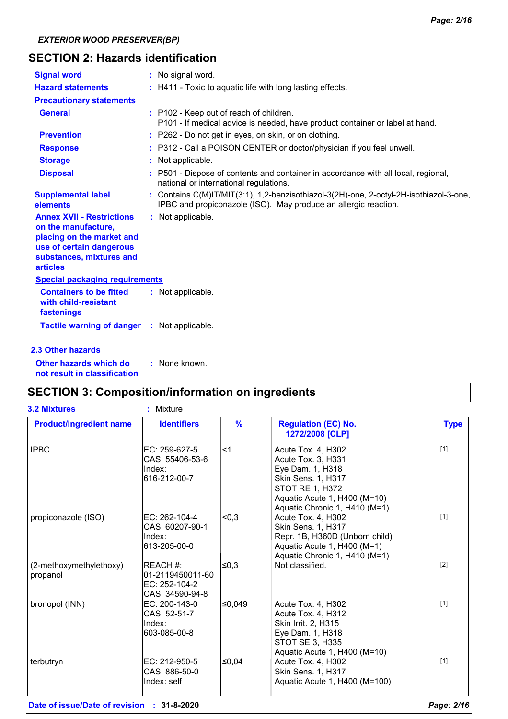# **SECTION 2: Hazards identification**

| <b>Signal word</b>                                                                                                                                              | : No signal word.                                                                                                                                         |
|-----------------------------------------------------------------------------------------------------------------------------------------------------------------|-----------------------------------------------------------------------------------------------------------------------------------------------------------|
| <b>Hazard statements</b>                                                                                                                                        | : H411 - Toxic to aquatic life with long lasting effects.                                                                                                 |
| <b>Precautionary statements</b>                                                                                                                                 |                                                                                                                                                           |
| <b>General</b>                                                                                                                                                  | : P102 - Keep out of reach of children.<br>P101 - If medical advice is needed, have product container or label at hand.                                   |
| <b>Prevention</b>                                                                                                                                               | : P262 - Do not get in eyes, on skin, or on clothing.                                                                                                     |
| <b>Response</b>                                                                                                                                                 | : P312 - Call a POISON CENTER or doctor/physician if you feel unwell.                                                                                     |
| <b>Storage</b>                                                                                                                                                  | : Not applicable.                                                                                                                                         |
| <b>Disposal</b>                                                                                                                                                 | : P501 - Dispose of contents and container in accordance with all local, regional,<br>national or international regulations.                              |
| <b>Supplemental label</b><br>elements                                                                                                                           | : Contains C(M)IT/MIT(3:1), 1,2-benzisothiazol-3(2H)-one, 2-octyl-2H-isothiazol-3-one,<br>IPBC and propiconazole (ISO). May produce an allergic reaction. |
| <b>Annex XVII - Restrictions</b><br>on the manufacture,<br>placing on the market and<br>use of certain dangerous<br>substances, mixtures and<br><b>articles</b> | : Not applicable.                                                                                                                                         |
| <b>Special packaging requirements</b>                                                                                                                           |                                                                                                                                                           |
| <b>Containers to be fitted</b><br>with child-resistant<br>fastenings                                                                                            | : Not applicable.                                                                                                                                         |
| <b>Tactile warning of danger</b>                                                                                                                                | : Not applicable.                                                                                                                                         |
| 2.3 Other hazards                                                                                                                                               |                                                                                                                                                           |

**Other hazards which do : not result in classification** : None known.

# **SECTION 3: Composition/information on ingredients**

| <b>3.2 Mixtures</b>                 | : Mixture                                                        |               |                                                                                                                                                                               |             |
|-------------------------------------|------------------------------------------------------------------|---------------|-------------------------------------------------------------------------------------------------------------------------------------------------------------------------------|-------------|
| <b>Product/ingredient name</b>      | <b>Identifiers</b>                                               | $\frac{9}{6}$ | <b>Regulation (EC) No.</b><br>1272/2008 [CLP]                                                                                                                                 | <b>Type</b> |
| <b>IPBC</b>                         | EC: 259-627-5<br>CAS: 55406-53-6<br>Index:<br>616-212-00-7       | $<$ 1         | Acute Tox. 4, H302<br>Acute Tox. 3, H331<br>Eye Dam. 1, H318<br>Skin Sens. 1, H317<br><b>STOT RE 1, H372</b><br>Aquatic Acute 1, H400 (M=10)<br>Aquatic Chronic 1, H410 (M=1) | $[1]$       |
| propiconazole (ISO)                 | EC: 262-104-4<br>CAS: 60207-90-1<br>Index:<br>613-205-00-0       | < 0.3         | Acute Tox. 4, H302<br>Skin Sens. 1, H317<br>Repr. 1B, H360D (Unborn child)<br>Aquatic Acute 1, H400 (M=1)<br>Aquatic Chronic 1, H410 (M=1)                                    | $[1]$       |
| (2-methoxymethylethoxy)<br>propanol | REACH #:<br>01-2119450011-60<br>EC: 252-104-2<br>CAS: 34590-94-8 | ≤0,3          | Not classified.                                                                                                                                                               | $[2]$       |
| bronopol (INN)                      | EC: 200-143-0<br>CAS: 52-51-7<br>Index:<br>603-085-00-8          | l≤0,049       | Acute Tox. 4, H302<br>Acute Tox. 4, H312<br>Skin Irrit. 2, H315<br>Eye Dam. 1, H318<br>STOT SE 3, H335<br>Aquatic Acute 1, H400 (M=10)                                        | $[1]$       |
| terbutryn                           | EC: 212-950-5<br>CAS: 886-50-0<br>Index: self                    | l≤0,04        | Acute Tox. 4, H302<br>Skin Sens. 1, H317<br>Aquatic Acute 1, H400 (M=100)                                                                                                     | $[1]$       |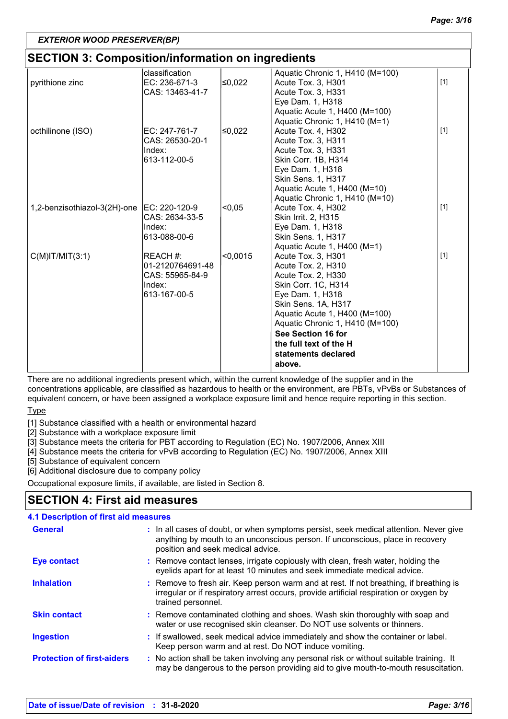# **SECTION 3: Composition/information on ingredients**

| <u>ULU HUN U. UUMPUJINUMMINININININ UN MYHUUNIW</u> |                  |          |                                 |       |
|-----------------------------------------------------|------------------|----------|---------------------------------|-------|
|                                                     | classification   |          | Aquatic Chronic 1, H410 (M=100) |       |
| pyrithione zinc                                     | EC: 236-671-3    | ≤0,022   | Acute Tox. 3, H301              | $[1]$ |
|                                                     | CAS: 13463-41-7  |          | Acute Tox. 3, H331              |       |
|                                                     |                  |          | Eye Dam. 1, H318                |       |
|                                                     |                  |          | Aquatic Acute 1, H400 (M=100)   |       |
|                                                     |                  |          | Aquatic Chronic 1, H410 (M=1)   |       |
| octhilinone (ISO)                                   | EC: 247-761-7    | ≤0,022   | Acute Tox. 4, H302              | $[1]$ |
|                                                     | CAS: 26530-20-1  |          | Acute Tox. 3, H311              |       |
|                                                     | Index:           |          | Acute Tox. 3, H331              |       |
|                                                     | 613-112-00-5     |          | Skin Corr. 1B, H314             |       |
|                                                     |                  |          | Eye Dam. 1, H318                |       |
|                                                     |                  |          | Skin Sens. 1, H317              |       |
|                                                     |                  |          | Aquatic Acute 1, H400 (M=10)    |       |
|                                                     |                  |          | Aquatic Chronic 1, H410 (M=10)  |       |
| 1,2-benzisothiazol-3(2H)-one                        | EC: 220-120-9    | < 0.05   | Acute Tox. 4, H302              | $[1]$ |
|                                                     | CAS: 2634-33-5   |          | Skin Irrit. 2, H315             |       |
|                                                     | Index:           |          | Eye Dam. 1, H318                |       |
|                                                     | 613-088-00-6     |          | Skin Sens. 1, H317              |       |
|                                                     |                  |          | Aquatic Acute 1, H400 (M=1)     |       |
| $C(M)$ IT/MIT $(3:1)$                               | REACH #:         | < 0,0015 | Acute Tox. 3, H301              | $[1]$ |
|                                                     | 01-2120764691-48 |          | Acute Tox. 2, H310              |       |
|                                                     | CAS: 55965-84-9  |          | Acute Tox. 2, H330              |       |
|                                                     | Index:           |          | Skin Corr. 1C, H314             |       |
|                                                     | 613-167-00-5     |          | Eye Dam. 1, H318                |       |
|                                                     |                  |          | Skin Sens. 1A, H317             |       |
|                                                     |                  |          | Aquatic Acute 1, H400 (M=100)   |       |
|                                                     |                  |          | Aquatic Chronic 1, H410 (M=100) |       |
|                                                     |                  |          | See Section 16 for              |       |
|                                                     |                  |          | the full text of the H          |       |
|                                                     |                  |          | statements declared             |       |
|                                                     |                  |          | above.                          |       |
|                                                     |                  |          |                                 |       |

There are no additional ingredients present which, within the current knowledge of the supplier and in the concentrations applicable, are classified as hazardous to health or the environment, are PBTs, vPvBs or Substances of equivalent concern, or have been assigned a workplace exposure limit and hence require reporting in this section.

#### **Type**

[1] Substance classified with a health or environmental hazard

[2] Substance with a workplace exposure limit

[3] Substance meets the criteria for PBT according to Regulation (EC) No. 1907/2006, Annex XIII

[4] Substance meets the criteria for vPvB according to Regulation (EC) No. 1907/2006, Annex XIII

[5] Substance of equivalent concern

[6] Additional disclosure due to company policy

Occupational exposure limits, if available, are listed in Section 8.

# **SECTION 4: First aid measures**

#### **4.1 Description of first aid measures**

| <b>General</b>                    | : In all cases of doubt, or when symptoms persist, seek medical attention. Never give<br>anything by mouth to an unconscious person. If unconscious, place in recovery<br>position and seek medical advice. |
|-----------------------------------|-------------------------------------------------------------------------------------------------------------------------------------------------------------------------------------------------------------|
| Eye contact                       | : Remove contact lenses, irrigate copiously with clean, fresh water, holding the<br>eyelids apart for at least 10 minutes and seek immediate medical advice.                                                |
| <b>Inhalation</b>                 | : Remove to fresh air. Keep person warm and at rest. If not breathing, if breathing is<br>irregular or if respiratory arrest occurs, provide artificial respiration or oxygen by<br>trained personnel.      |
| <b>Skin contact</b>               | : Remove contaminated clothing and shoes. Wash skin thoroughly with soap and<br>water or use recognised skin cleanser. Do NOT use solvents or thinners.                                                     |
| <b>Ingestion</b>                  | : If swallowed, seek medical advice immediately and show the container or label.<br>Keep person warm and at rest. Do NOT induce vomiting.                                                                   |
| <b>Protection of first-aiders</b> | : No action shall be taken involving any personal risk or without suitable training. It<br>may be dangerous to the person providing aid to give mouth-to-mouth resuscitation.                               |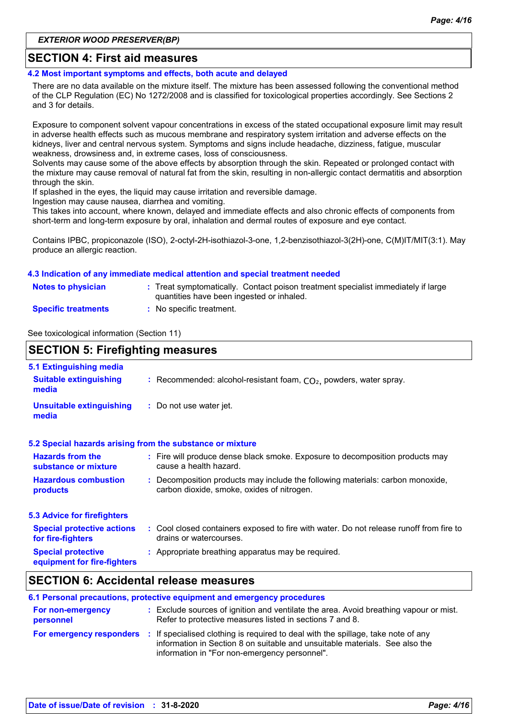#### **SECTION 4: First aid measures**

**4.2 Most important symptoms and effects, both acute and delayed**

There are no data available on the mixture itself. The mixture has been assessed following the conventional method of the CLP Regulation (EC) No 1272/2008 and is classified for toxicological properties accordingly. See Sections 2 and 3 for details.

Exposure to component solvent vapour concentrations in excess of the stated occupational exposure limit may result in adverse health effects such as mucous membrane and respiratory system irritation and adverse effects on the kidneys, liver and central nervous system. Symptoms and signs include headache, dizziness, fatigue, muscular weakness, drowsiness and, in extreme cases, loss of consciousness.

Solvents may cause some of the above effects by absorption through the skin. Repeated or prolonged contact with the mixture may cause removal of natural fat from the skin, resulting in non-allergic contact dermatitis and absorption through the skin.

If splashed in the eyes, the liquid may cause irritation and reversible damage.

Ingestion may cause nausea, diarrhea and vomiting.

This takes into account, where known, delayed and immediate effects and also chronic effects of components from short-term and long-term exposure by oral, inhalation and dermal routes of exposure and eye contact.

Contains IPBC, propiconazole (ISO), 2-octyl-2H-isothiazol-3-one, 1,2-benzisothiazol-3(2H)-one, C(M)IT/MIT(3:1). May produce an allergic reaction.

#### **4.3 Indication of any immediate medical attention and special treatment needed**

| <b>Notes to physician</b>  | : Treat symptomatically. Contact poison treatment specialist immediately if large<br>quantities have been ingested or inhaled. |
|----------------------------|--------------------------------------------------------------------------------------------------------------------------------|
| <b>Specific treatments</b> | No specific treatment.                                                                                                         |

See toxicological information (Section 11)

| <b>SECTION 5: Firefighting measures</b>                           |                                                                                                                              |  |
|-------------------------------------------------------------------|------------------------------------------------------------------------------------------------------------------------------|--|
| 5.1 Extinguishing media<br><b>Suitable extinguishing</b><br>media | : Recommended: alcohol-resistant foam, $CO2$ , powders, water spray.                                                         |  |
| <b>Unsuitable extinguishing</b><br>media                          | : Do not use water jet.                                                                                                      |  |
|                                                                   | 5.2 Special hazards arising from the substance or mixture                                                                    |  |
| <b>Hazards from the</b><br>substance or mixture                   | : Fire will produce dense black smoke. Exposure to decomposition products may<br>cause a health hazard.                      |  |
| <b>Hazardous combustion</b><br>products                           | : Decomposition products may include the following materials: carbon monoxide,<br>carbon dioxide, smoke, oxides of nitrogen. |  |
| <b>5.3 Advice for firefighters</b>                                |                                                                                                                              |  |
| <b>Special protective actions</b><br>for fire-fighters            | : Cool closed containers exposed to fire with water. Do not release runoff from fire to<br>drains or watercourses.           |  |
| <b>Special protective</b><br>equipment for fire-fighters          | : Appropriate breathing apparatus may be required.                                                                           |  |
|                                                                   |                                                                                                                              |  |

### **SECTION 6: Accidental release measures**

|                                | 6.1 Personal precautions, protective equipment and emergency procedures                                                                                                                                           |
|--------------------------------|-------------------------------------------------------------------------------------------------------------------------------------------------------------------------------------------------------------------|
| For non-emergency<br>personnel | : Exclude sources of ignition and ventilate the area. Avoid breathing vapour or mist.<br>Refer to protective measures listed in sections 7 and 8.                                                                 |
| For emergency responders       | : If specialised clothing is required to deal with the spillage, take note of any<br>information in Section 8 on suitable and unsuitable materials. See also the<br>information in "For non-emergency personnel". |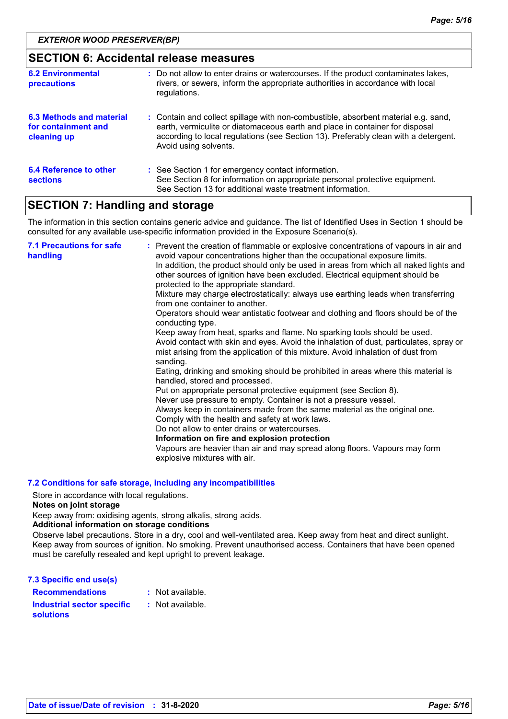| <b>SECTION 6: Accidental release measures</b>                  |                                                                                                                                                                                                                                                                                    |  |  |
|----------------------------------------------------------------|------------------------------------------------------------------------------------------------------------------------------------------------------------------------------------------------------------------------------------------------------------------------------------|--|--|
| <b>6.2 Environmental</b><br><b>precautions</b>                 | : Do not allow to enter drains or watercourses. If the product contaminates lakes,<br>rivers, or sewers, inform the appropriate authorities in accordance with local<br>regulations.                                                                                               |  |  |
| 6.3 Methods and material<br>for containment and<br>cleaning up | : Contain and collect spillage with non-combustible, absorbent material e.g. sand,<br>earth, vermiculite or diatomaceous earth and place in container for disposal<br>according to local regulations (see Section 13). Preferably clean with a detergent.<br>Avoid using solvents. |  |  |
| <b>6.4 Reference to other</b><br><b>sections</b>               | : See Section 1 for emergency contact information.<br>See Section 8 for information on appropriate personal protective equipment.<br>See Section 13 for additional waste treatment information.                                                                                    |  |  |

# **SECTION 7: Handling and storage**

The information in this section contains generic advice and guidance. The list of Identified Uses in Section 1 should be consulted for any available use-specific information provided in the Exposure Scenario(s).

| <b>7.1 Precautions for safe</b><br>handling | : Prevent the creation of flammable or explosive concentrations of vapours in air and<br>avoid vapour concentrations higher than the occupational exposure limits.<br>In addition, the product should only be used in areas from which all naked lights and<br>other sources of ignition have been excluded. Electrical equipment should be<br>protected to the appropriate standard.<br>Mixture may charge electrostatically: always use earthing leads when transferring<br>from one container to another.<br>Operators should wear antistatic footwear and clothing and floors should be of the<br>conducting type.<br>Keep away from heat, sparks and flame. No sparking tools should be used.<br>Avoid contact with skin and eyes. Avoid the inhalation of dust, particulates, spray or<br>mist arising from the application of this mixture. Avoid inhalation of dust from<br>sanding.<br>Eating, drinking and smoking should be prohibited in areas where this material is<br>handled, stored and processed.<br>Put on appropriate personal protective equipment (see Section 8).<br>Never use pressure to empty. Container is not a pressure vessel.<br>Always keep in containers made from the same material as the original one.<br>Comply with the health and safety at work laws.<br>Do not allow to enter drains or watercourses.<br>Information on fire and explosion protection<br>Vapours are heavier than air and may spread along floors. Vapours may form<br>explosive mixtures with air. |
|---------------------------------------------|--------------------------------------------------------------------------------------------------------------------------------------------------------------------------------------------------------------------------------------------------------------------------------------------------------------------------------------------------------------------------------------------------------------------------------------------------------------------------------------------------------------------------------------------------------------------------------------------------------------------------------------------------------------------------------------------------------------------------------------------------------------------------------------------------------------------------------------------------------------------------------------------------------------------------------------------------------------------------------------------------------------------------------------------------------------------------------------------------------------------------------------------------------------------------------------------------------------------------------------------------------------------------------------------------------------------------------------------------------------------------------------------------------------------------------------------------------------------------------------------------------------|
|---------------------------------------------|--------------------------------------------------------------------------------------------------------------------------------------------------------------------------------------------------------------------------------------------------------------------------------------------------------------------------------------------------------------------------------------------------------------------------------------------------------------------------------------------------------------------------------------------------------------------------------------------------------------------------------------------------------------------------------------------------------------------------------------------------------------------------------------------------------------------------------------------------------------------------------------------------------------------------------------------------------------------------------------------------------------------------------------------------------------------------------------------------------------------------------------------------------------------------------------------------------------------------------------------------------------------------------------------------------------------------------------------------------------------------------------------------------------------------------------------------------------------------------------------------------------|

#### **7.2 Conditions for safe storage, including any incompatibilities**

Store in accordance with local regulations.

**Notes on joint storage**

Keep away from: oxidising agents, strong alkalis, strong acids.

#### **Additional information on storage conditions**

Observe label precautions. Store in a dry, cool and well-ventilated area. Keep away from heat and direct sunlight. Keep away from sources of ignition. No smoking. Prevent unauthorised access. Containers that have been opened must be carefully resealed and kept upright to prevent leakage.

| 7.3 Specific end use(s)                               |                  |
|-------------------------------------------------------|------------------|
| <b>Recommendations</b>                                | : Not available. |
| <b>Industrial sector specific</b><br><b>solutions</b> | : Not available. |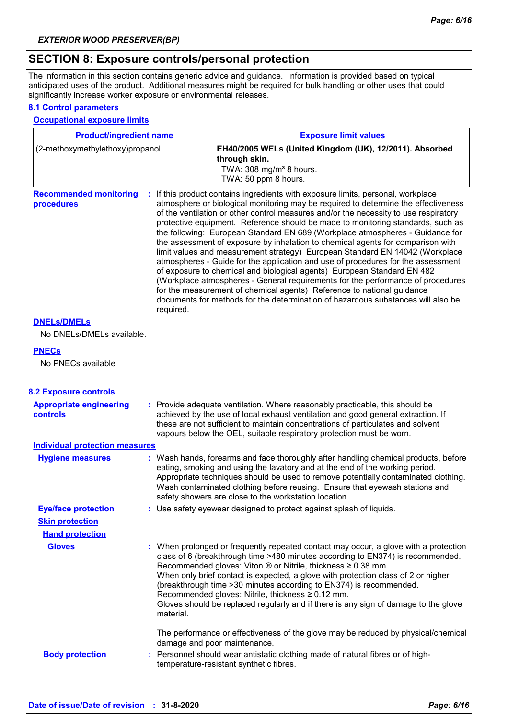## **SECTION 8: Exposure controls/personal protection**

The information in this section contains generic advice and guidance. Information is provided based on typical anticipated uses of the product. Additional measures might be required for bulk handling or other uses that could significantly increase worker exposure or environmental releases.

#### **8.1 Control parameters**

#### **Occupational exposure limits**

| <b>Product/ingredient name</b>                    |           | <b>Exposure limit values</b>                                                                                                                                                                                                                                                                                                                                                                                                                                                                                                                                                                                                                                                                                                                                                                                                                                                                                                                                                                                          |  |  |
|---------------------------------------------------|-----------|-----------------------------------------------------------------------------------------------------------------------------------------------------------------------------------------------------------------------------------------------------------------------------------------------------------------------------------------------------------------------------------------------------------------------------------------------------------------------------------------------------------------------------------------------------------------------------------------------------------------------------------------------------------------------------------------------------------------------------------------------------------------------------------------------------------------------------------------------------------------------------------------------------------------------------------------------------------------------------------------------------------------------|--|--|
| (2-methoxymethylethoxy)propanol                   |           | EH40/2005 WELs (United Kingdom (UK), 12/2011). Absorbed<br>through skin.<br>TWA: 308 mg/m <sup>3</sup> 8 hours.<br>TWA: 50 ppm 8 hours.                                                                                                                                                                                                                                                                                                                                                                                                                                                                                                                                                                                                                                                                                                                                                                                                                                                                               |  |  |
| <b>Recommended monitoring</b><br>procedures       | required. | : If this product contains ingredients with exposure limits, personal, workplace<br>atmosphere or biological monitoring may be required to determine the effectiveness<br>of the ventilation or other control measures and/or the necessity to use respiratory<br>protective equipment. Reference should be made to monitoring standards, such as<br>the following: European Standard EN 689 (Workplace atmospheres - Guidance for<br>the assessment of exposure by inhalation to chemical agents for comparison with<br>limit values and measurement strategy) European Standard EN 14042 (Workplace<br>atmospheres - Guide for the application and use of procedures for the assessment<br>of exposure to chemical and biological agents) European Standard EN 482<br>(Workplace atmospheres - General requirements for the performance of procedures<br>for the measurement of chemical agents) Reference to national guidance<br>documents for methods for the determination of hazardous substances will also be |  |  |
| <b>DNELS/DMELS</b><br>No DNELs/DMELs available.   |           |                                                                                                                                                                                                                                                                                                                                                                                                                                                                                                                                                                                                                                                                                                                                                                                                                                                                                                                                                                                                                       |  |  |
| <b>PNECs</b>                                      |           |                                                                                                                                                                                                                                                                                                                                                                                                                                                                                                                                                                                                                                                                                                                                                                                                                                                                                                                                                                                                                       |  |  |
| No PNECs available                                |           |                                                                                                                                                                                                                                                                                                                                                                                                                                                                                                                                                                                                                                                                                                                                                                                                                                                                                                                                                                                                                       |  |  |
| <b>8.2 Exposure controls</b>                      |           |                                                                                                                                                                                                                                                                                                                                                                                                                                                                                                                                                                                                                                                                                                                                                                                                                                                                                                                                                                                                                       |  |  |
| <b>Appropriate engineering</b><br><b>controls</b> |           | : Provide adequate ventilation. Where reasonably practicable, this should be<br>achieved by the use of local exhaust ventilation and good general extraction. If<br>these are not sufficient to maintain concentrations of particulates and solvent<br>vapours below the OEL, suitable respiratory protection must be worn.                                                                                                                                                                                                                                                                                                                                                                                                                                                                                                                                                                                                                                                                                           |  |  |
| <b>Individual protection measures</b>             |           |                                                                                                                                                                                                                                                                                                                                                                                                                                                                                                                                                                                                                                                                                                                                                                                                                                                                                                                                                                                                                       |  |  |
| <b>Hygiene measures</b>                           |           | : Wash hands, forearms and face thoroughly after handling chemical products, before<br>eating, smoking and using the lavatory and at the end of the working period.<br>Appropriate techniques should be used to remove potentially contaminated clothing.<br>Wash contaminated clothing before reusing. Ensure that eyewash stations and<br>safety showers are close to the workstation location.                                                                                                                                                                                                                                                                                                                                                                                                                                                                                                                                                                                                                     |  |  |
| <b>Eye/face protection</b>                        |           | : Use safety eyewear designed to protect against splash of liquids.                                                                                                                                                                                                                                                                                                                                                                                                                                                                                                                                                                                                                                                                                                                                                                                                                                                                                                                                                   |  |  |
| <b>Skin protection</b>                            |           |                                                                                                                                                                                                                                                                                                                                                                                                                                                                                                                                                                                                                                                                                                                                                                                                                                                                                                                                                                                                                       |  |  |
| <b>Hand protection</b>                            |           |                                                                                                                                                                                                                                                                                                                                                                                                                                                                                                                                                                                                                                                                                                                                                                                                                                                                                                                                                                                                                       |  |  |
| <b>Gloves</b>                                     | material. | : When prolonged or frequently repeated contact may occur, a glove with a protection<br>class of 6 (breakthrough time >480 minutes according to EN374) is recommended.<br>Recommended gloves: Viton ® or Nitrile, thickness ≥ 0.38 mm.<br>When only brief contact is expected, a glove with protection class of 2 or higher<br>(breakthrough time > 30 minutes according to EN374) is recommended.<br>Recommended gloves: Nitrile, thickness ≥ 0.12 mm.<br>Gloves should be replaced regularly and if there is any sign of damage to the glove                                                                                                                                                                                                                                                                                                                                                                                                                                                                        |  |  |
|                                                   |           | The performance or effectiveness of the glove may be reduced by physical/chemical<br>damage and poor maintenance.                                                                                                                                                                                                                                                                                                                                                                                                                                                                                                                                                                                                                                                                                                                                                                                                                                                                                                     |  |  |
| <b>Body protection</b>                            |           | : Personnel should wear antistatic clothing made of natural fibres or of high-<br>temperature-resistant synthetic fibres.                                                                                                                                                                                                                                                                                                                                                                                                                                                                                                                                                                                                                                                                                                                                                                                                                                                                                             |  |  |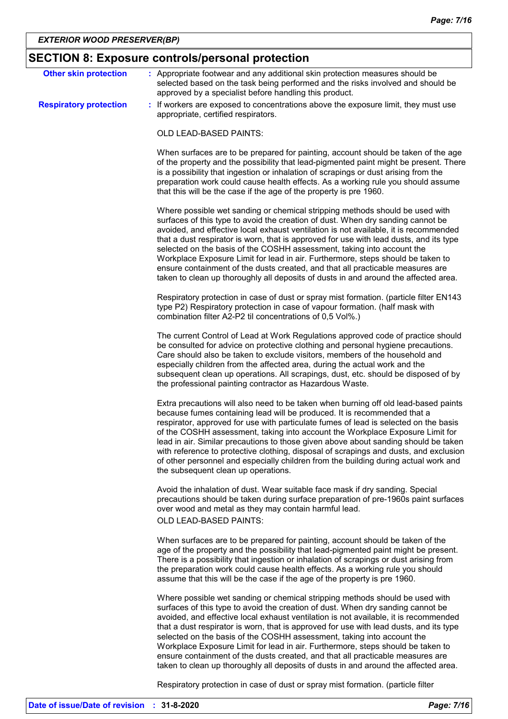# **SECTION 8: Exposure controls/personal protection**

| <b>Other skin protection</b>  | : Appropriate footwear and any additional skin protection measures should be<br>selected based on the task being performed and the risks involved and should be<br>approved by a specialist before handling this product.                                                                                                                                                                                                                                                                                                                                                                                                                                                               |
|-------------------------------|-----------------------------------------------------------------------------------------------------------------------------------------------------------------------------------------------------------------------------------------------------------------------------------------------------------------------------------------------------------------------------------------------------------------------------------------------------------------------------------------------------------------------------------------------------------------------------------------------------------------------------------------------------------------------------------------|
| <b>Respiratory protection</b> | : If workers are exposed to concentrations above the exposure limit, they must use<br>appropriate, certified respirators.                                                                                                                                                                                                                                                                                                                                                                                                                                                                                                                                                               |
|                               | OLD LEAD-BASED PAINTS:                                                                                                                                                                                                                                                                                                                                                                                                                                                                                                                                                                                                                                                                  |
|                               | When surfaces are to be prepared for painting, account should be taken of the age<br>of the property and the possibility that lead-pigmented paint might be present. There<br>is a possibility that ingestion or inhalation of scrapings or dust arising from the<br>preparation work could cause health effects. As a working rule you should assume<br>that this will be the case if the age of the property is pre 1960.                                                                                                                                                                                                                                                             |
|                               | Where possible wet sanding or chemical stripping methods should be used with<br>surfaces of this type to avoid the creation of dust. When dry sanding cannot be<br>avoided, and effective local exhaust ventilation is not available, it is recommended<br>that a dust respirator is worn, that is approved for use with lead dusts, and its type<br>selected on the basis of the COSHH assessment, taking into account the<br>Workplace Exposure Limit for lead in air. Furthermore, steps should be taken to<br>ensure containment of the dusts created, and that all practicable measures are<br>taken to clean up thoroughly all deposits of dusts in and around the affected area. |
|                               | Respiratory protection in case of dust or spray mist formation. (particle filter EN143<br>type P2) Respiratory protection in case of vapour formation. (half mask with<br>combination filter A2-P2 til concentrations of 0,5 Vol%.)                                                                                                                                                                                                                                                                                                                                                                                                                                                     |
|                               | The current Control of Lead at Work Regulations approved code of practice should<br>be consulted for advice on protective clothing and personal hygiene precautions.<br>Care should also be taken to exclude visitors, members of the household and<br>especially children from the affected area, during the actual work and the<br>subsequent clean up operations. All scrapings, dust, etc. should be disposed of by<br>the professional painting contractor as Hazardous Waste.                                                                                                                                                                                                     |
|                               | Extra precautions will also need to be taken when burning off old lead-based paints<br>because fumes containing lead will be produced. It is recommended that a<br>respirator, approved for use with particulate fumes of lead is selected on the basis<br>of the COSHH assessment, taking into account the Workplace Exposure Limit for<br>lead in air. Similar precautions to those given above about sanding should be taken<br>with reference to protective clothing, disposal of scrapings and dusts, and exclusion<br>of other personnel and especially children from the building during actual work and<br>the subsequent clean up operations.                                  |
|                               | Avoid the inhalation of dust. Wear suitable face mask if dry sanding. Special<br>precautions should be taken during surface preparation of pre-1960s paint surfaces<br>over wood and metal as they may contain harmful lead.<br><b>OLD LEAD-BASED PAINTS:</b>                                                                                                                                                                                                                                                                                                                                                                                                                           |
|                               | When surfaces are to be prepared for painting, account should be taken of the<br>age of the property and the possibility that lead-pigmented paint might be present.<br>There is a possibility that ingestion or inhalation of scrapings or dust arising from<br>the preparation work could cause health effects. As a working rule you should<br>assume that this will be the case if the age of the property is pre 1960.                                                                                                                                                                                                                                                             |
|                               | Where possible wet sanding or chemical stripping methods should be used with<br>surfaces of this type to avoid the creation of dust. When dry sanding cannot be<br>avoided, and effective local exhaust ventilation is not available, it is recommended<br>that a dust respirator is worn, that is approved for use with lead dusts, and its type<br>selected on the basis of the COSHH assessment, taking into account the<br>Workplace Exposure Limit for lead in air. Furthermore, steps should be taken to<br>ensure containment of the dusts created, and that all practicable measures are<br>taken to clean up thoroughly all deposits of dusts in and around the affected area. |
|                               | Respiratory protection in case of dust or spray mist formation. (particle filter                                                                                                                                                                                                                                                                                                                                                                                                                                                                                                                                                                                                        |

**Date of issue/Date of revision : 31-8-2020** *Page: 7/16*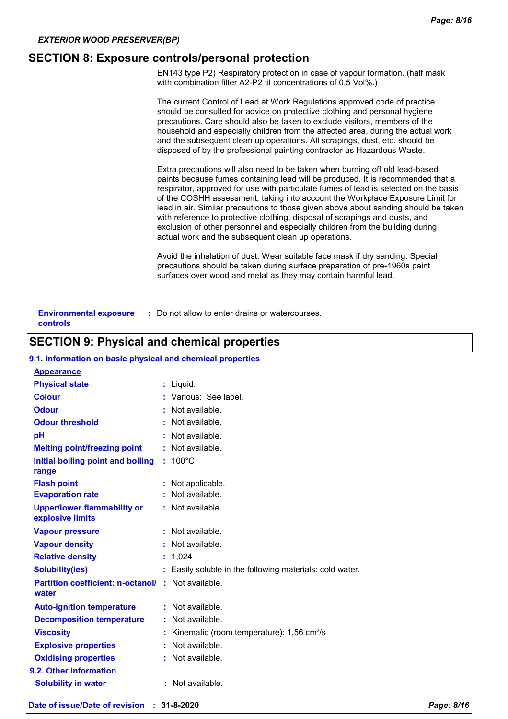### **SECTION 8: Exposure controls/personal protection**

EN143 type P2) Respiratory protection in case of vapour formation. (half mask with combination filter A2-P2 til concentrations of 0,5 Vol%.)

|                                           | The current Control of Lead at Work Regulations approved code of practice<br>should be consulted for advice on protective clothing and personal hygiene<br>precautions. Care should also be taken to exclude visitors, members of the<br>household and especially children from the affected area, during the actual work<br>and the subsequent clean up operations. All scrapings, dust, etc. should be<br>disposed of by the professional painting contractor as Hazardous Waste.                                                                                                                                                                    |
|-------------------------------------------|--------------------------------------------------------------------------------------------------------------------------------------------------------------------------------------------------------------------------------------------------------------------------------------------------------------------------------------------------------------------------------------------------------------------------------------------------------------------------------------------------------------------------------------------------------------------------------------------------------------------------------------------------------|
|                                           | Extra precautions will also need to be taken when burning off old lead-based<br>paints because fumes containing lead will be produced. It is recommended that a<br>respirator, approved for use with particulate fumes of lead is selected on the basis<br>of the COSHH assessment, taking into account the Workplace Exposure Limit for<br>lead in air. Similar precautions to those given above about sanding should be taken<br>with reference to protective clothing, disposal of scrapings and dusts, and<br>exclusion of other personnel and especially children from the building during<br>actual work and the subsequent clean up operations. |
|                                           | Avoid the inhalation of dust. Wear suitable face mask if dry sanding. Special<br>precautions should be taken during surface preparation of pre-1960s paint<br>surfaces over wood and metal as they may contain harmful lead.                                                                                                                                                                                                                                                                                                                                                                                                                           |
| <b>Environmental exposure</b><br>controls | : Do not allow to enter drains or watercourses.                                                                                                                                                                                                                                                                                                                                                                                                                                                                                                                                                                                                        |

### **SECTION 9: Physical and chemical properties**

#### **9.1. Information on basic physical and chemical properties**

| <b>Appearance</b>                                                  |    |                                                           |
|--------------------------------------------------------------------|----|-----------------------------------------------------------|
| <b>Physical state</b>                                              |    | : Liquid.                                                 |
| <b>Colour</b>                                                      |    | : Various: See label.                                     |
| <b>Odour</b>                                                       |    | $:$ Not available.                                        |
| <b>Odour threshold</b>                                             |    | : Not available.                                          |
| pH                                                                 |    | Not available.                                            |
| <b>Melting point/freezing point</b>                                |    | : Not available.                                          |
| Initial boiling point and boiling<br>range                         | t. | $100^{\circ}$ C                                           |
| <b>Flash point</b>                                                 |    | : Not applicable.                                         |
| <b>Evaporation rate</b>                                            |    | Not available.                                            |
| <b>Upper/lower flammability or</b><br>explosive limits             |    | : Not available.                                          |
| <b>Vapour pressure</b>                                             |    | $:$ Not available.                                        |
| <b>Vapour density</b>                                              |    | $:$ Not available.                                        |
| <b>Relative density</b>                                            |    | : 1,024                                                   |
| <b>Solubility(ies)</b>                                             |    | : Easily soluble in the following materials: cold water.  |
| <b>Partition coefficient: n-octanol/ : Not available.</b><br>water |    |                                                           |
| <b>Auto-ignition temperature</b>                                   |    | : Not available.                                          |
| <b>Decomposition temperature</b>                                   |    | $:$ Not available.                                        |
| <b>Viscosity</b>                                                   |    | : Kinematic (room temperature): $1,56$ cm <sup>2</sup> /s |
| <b>Explosive properties</b>                                        |    | : Not available.                                          |
| <b>Oxidising properties</b>                                        |    | : Not available.                                          |
| 9.2. Other information                                             |    |                                                           |
| <b>Solubility in water</b>                                         |    | : Not available.                                          |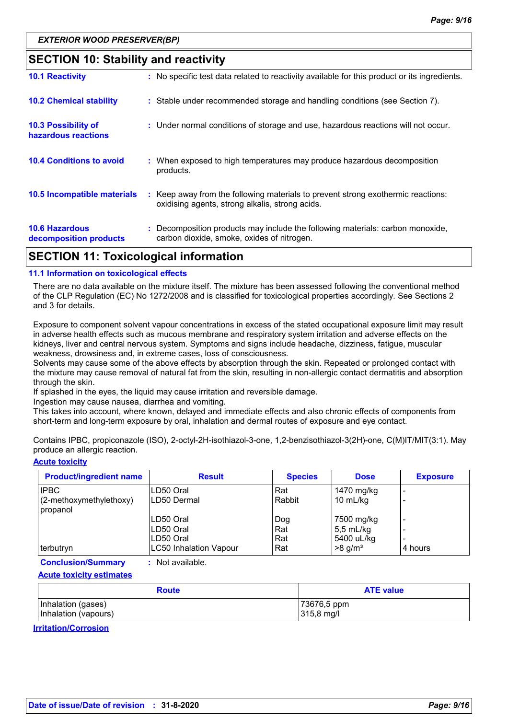### **SECTION 10: Stability and reactivity**

| APATIAN JJ T I I I I I I I I II                   |                                                                                                                                     |
|---------------------------------------------------|-------------------------------------------------------------------------------------------------------------------------------------|
| <b>10.6 Hazardous</b><br>decomposition products   | : Decomposition products may include the following materials: carbon monoxide,<br>carbon dioxide, smoke, oxides of nitrogen.        |
| 10.5 Incompatible materials                       | : Keep away from the following materials to prevent strong exothermic reactions:<br>oxidising agents, strong alkalis, strong acids. |
| <b>10.4 Conditions to avoid</b>                   | : When exposed to high temperatures may produce hazardous decomposition<br>products.                                                |
| <b>10.3 Possibility of</b><br>hazardous reactions | : Under normal conditions of storage and use, hazardous reactions will not occur.                                                   |
| <b>10.2 Chemical stability</b>                    | : Stable under recommended storage and handling conditions (see Section 7).                                                         |
| <b>10.1 Reactivity</b>                            | : No specific test data related to reactivity available for this product or its ingredients.                                        |

## **SECTION 11: Toxicological information**

#### **11.1 Information on toxicological effects**

There are no data available on the mixture itself. The mixture has been assessed following the conventional method of the CLP Regulation (EC) No 1272/2008 and is classified for toxicological properties accordingly. See Sections 2 and 3 for details.

Exposure to component solvent vapour concentrations in excess of the stated occupational exposure limit may result in adverse health effects such as mucous membrane and respiratory system irritation and adverse effects on the kidneys, liver and central nervous system. Symptoms and signs include headache, dizziness, fatigue, muscular weakness, drowsiness and, in extreme cases, loss of consciousness.

Solvents may cause some of the above effects by absorption through the skin. Repeated or prolonged contact with the mixture may cause removal of natural fat from the skin, resulting in non-allergic contact dermatitis and absorption through the skin.

If splashed in the eyes, the liquid may cause irritation and reversible damage.

Ingestion may cause nausea, diarrhea and vomiting.

This takes into account, where known, delayed and immediate effects and also chronic effects of components from short-term and long-term exposure by oral, inhalation and dermal routes of exposure and eye contact.

Contains IPBC, propiconazole (ISO), 2-octyl-2H-isothiazol-3-one, 1,2-benzisothiazol-3(2H)-one, C(M)IT/MIT(3:1). May produce an allergic reaction.

#### **Acute toxicity**

| <b>Product/ingredient name</b> | <b>Result</b>                 | <b>Species</b> | <b>Dose</b>           | <b>Exposure</b> |
|--------------------------------|-------------------------------|----------------|-----------------------|-----------------|
| <b>IPBC</b>                    | LD50 Oral                     | Rat            | 1470 mg/kg            |                 |
| (2-methoxymethylethoxy)        | LD50 Dermal                   | Rabbit         | 10 mL/kg              |                 |
| propanol                       |                               |                |                       |                 |
|                                | LD50 Oral                     | Dog            | 7500 mg/kg            |                 |
|                                | ILD50 Oral                    | Rat            | $5,5$ mL/kg           |                 |
|                                | LD50 Oral                     | Rat            | 5400 uL/kg            |                 |
| terbutryn                      | <b>LC50 Inhalation Vapour</b> | Rat            | $>8$ g/m <sup>3</sup> | 4 hours         |

**Conclusion/Summary :** Not available.

**Acute toxicity estimates**

| <b>Route</b>         | <b>ATE value</b> |  |  |
|----------------------|------------------|--|--|
| Inhalation (gases)   | 73676,5 ppm      |  |  |
| Inhalation (vapours) | 315,8 mg/l       |  |  |

**Irritation/Corrosion**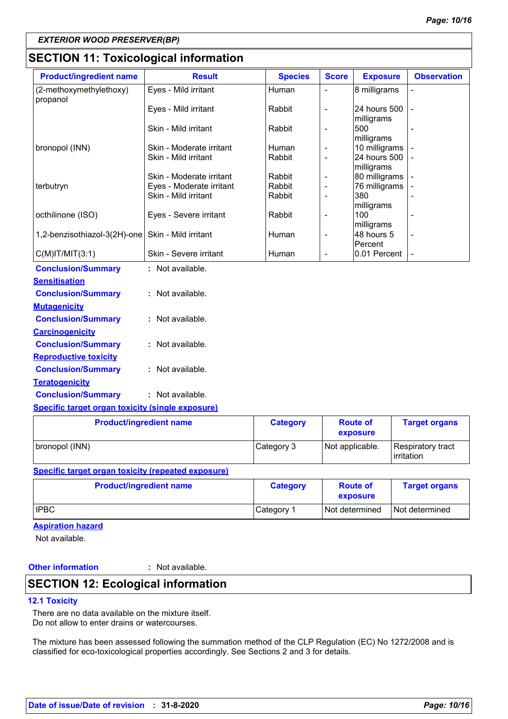## **SECTION 11: Toxicological information**

| <b>Product/ingredient name</b>      | <b>Result</b>            | <b>Species</b> | <b>Score</b>             | <b>Exposure</b>            | <b>Observation</b> |
|-------------------------------------|--------------------------|----------------|--------------------------|----------------------------|--------------------|
| (2-methoxymethylethoxy)<br>propanol | Eyes - Mild irritant     | Human          |                          | 8 milligrams               |                    |
|                                     | Eyes - Mild irritant     | Rabbit         | $\overline{\phantom{a}}$ | 24 hours 500<br>milligrams |                    |
|                                     | Skin - Mild irritant     | Rabbit         | $\overline{a}$           | 500<br>milligrams          |                    |
| bronopol (INN)                      | Skin - Moderate irritant | Human          | $\overline{\phantom{a}}$ | 10 milligrams              |                    |
|                                     | Skin - Mild irritant     | Rabbit         | $\overline{a}$           | 24 hours 500<br>milligrams |                    |
|                                     | Skin - Moderate irritant | Rabbit         | $\overline{\phantom{a}}$ | 80 milligrams              |                    |
| terbutryn                           | Eyes - Moderate irritant | Rabbit         | $\overline{\phantom{a}}$ | 76 milligrams              |                    |
|                                     | Skin - Mild irritant     | Rabbit         | $\overline{a}$           | 380<br>milligrams          |                    |
| octhilinone (ISO)                   | Eyes - Severe irritant   | Rabbit         | $\overline{\phantom{0}}$ | 100<br>milligrams          |                    |
| 1,2-benzisothiazol-3(2H)-one        | Skin - Mild irritant     | Human          | $\overline{\phantom{a}}$ | 48 hours 5<br>Percent      |                    |
| $C(M)$ IT/MIT $(3:1)$               | Skin - Severe irritant   | Human          | $\overline{a}$           | 0.01 Percent               |                    |
| <b>Conclusion/Summary</b>           | : Not available.         |                |                          |                            |                    |
| <b>Sensitisation</b>                |                          |                |                          |                            |                    |
| <b>Conclusion/Summary</b>           | : Not available.         |                |                          |                            |                    |
| <b>Mutagenicity</b>                 |                          |                |                          |                            |                    |
| <b>Conclusion/Summary</b>           | : Not available.         |                |                          |                            |                    |
| <b>Carcinogenicity</b>              |                          |                |                          |                            |                    |
| <b>Conclusion/Summary</b>           | : Not available.         |                |                          |                            |                    |
| <b>Reproductive toxicity</b>        |                          |                |                          |                            |                    |
| <b>Conclusion/Summary</b>           | : Not available.         |                |                          |                            |                    |
| <b>Teratogenicity</b>               |                          |                |                          |                            |                    |
| <b>Conclusion/Summary</b>           | : Not available.         |                |                          |                            |                    |

#### **Specific target organ toxicity (single exposure)**

| <b>Product/ingredient name</b> | <b>Category</b> | <b>Route of</b><br>exposure | <b>Target organs</b>              |
|--------------------------------|-----------------|-----------------------------|-----------------------------------|
| bronopol (INN)                 | Category 3      | Not applicable.             | Respiratory tract<br>l irritation |

#### **Specific target organ toxicity (repeated exposure)**

| <b>Product/ingredient name</b> | <b>Category</b> | <b>Route of</b><br>exposure | <b>Target organs</b> |
|--------------------------------|-----------------|-----------------------------|----------------------|
| <b>IPBC</b>                    | Category 1      | Not determined              | Not determined       |

#### **Aspiration hazard**

Not available.

### **Other information :**

: Not available.

### **SECTION 12: Ecological information**

#### **12.1 Toxicity**

There are no data available on the mixture itself. Do not allow to enter drains or watercourses.

The mixture has been assessed following the summation method of the CLP Regulation (EC) No 1272/2008 and is classified for eco-toxicological properties accordingly. See Sections 2 and 3 for details.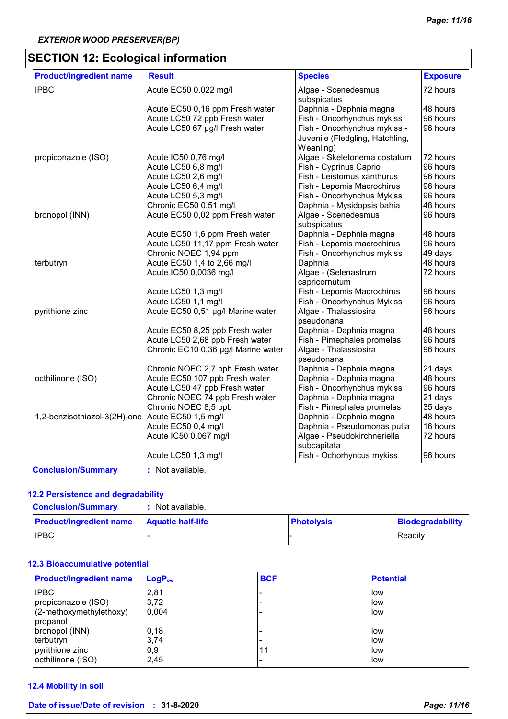# **SECTION 12: Ecological information**

| <b>Product/ingredient name</b> | <b>Result</b>                       | <b>Species</b>                  | <b>Exposure</b> |
|--------------------------------|-------------------------------------|---------------------------------|-----------------|
| <b>IPBC</b>                    | Acute EC50 0,022 mg/l               | Algae - Scenedesmus             | 72 hours        |
|                                |                                     | subspicatus                     |                 |
|                                | Acute EC50 0,16 ppm Fresh water     | Daphnia - Daphnia magna         | 48 hours        |
|                                | Acute LC50 72 ppb Fresh water       | Fish - Oncorhynchus mykiss      | 96 hours        |
|                                | Acute LC50 67 µg/l Fresh water      | Fish - Oncorhynchus mykiss -    | 96 hours        |
|                                |                                     | Juvenile (Fledgling, Hatchling, |                 |
|                                |                                     | Weanling)                       |                 |
| propiconazole (ISO)            | Acute IC50 0,76 mg/l                | Algae - Skeletonema costatum    | 72 hours        |
|                                | Acute LC50 6,8 mg/l                 | Fish - Cyprinus Caprio          | 96 hours        |
|                                | Acute LC50 2,6 mg/l                 | Fish - Leistomus xanthurus      | 96 hours        |
|                                | Acute LC50 6,4 mg/l                 | Fish - Lepomis Macrochirus      | 96 hours        |
|                                | Acute LC50 5,3 mg/l                 | Fish - Oncorhynchus Mykiss      | 96 hours        |
|                                | Chronic EC50 0,51 mg/l              | Daphnia - Mysidopsis bahia      | 48 hours        |
| bronopol (INN)                 | Acute EC50 0,02 ppm Fresh water     | Algae - Scenedesmus             | 96 hours        |
|                                |                                     | subspicatus                     |                 |
|                                | Acute EC50 1,6 ppm Fresh water      | Daphnia - Daphnia magna         | 48 hours        |
|                                | Acute LC50 11,17 ppm Fresh water    | Fish - Lepomis macrochirus      | 96 hours        |
|                                | Chronic NOEC 1,94 ppm               | Fish - Oncorhynchus mykiss      | 49 days         |
| terbutryn                      | Acute EC50 1,4 to 2,66 mg/l         | Daphnia                         | 48 hours        |
|                                | Acute IC50 0,0036 mg/l              | Algae - (Selenastrum            | 72 hours        |
|                                |                                     | capricornutum                   |                 |
|                                | Acute LC50 1,3 mg/l                 | Fish - Lepomis Macrochirus      | 96 hours        |
|                                | Acute LC50 1,1 mg/l                 | Fish - Oncorhynchus Mykiss      | 96 hours        |
| pyrithione zinc                | Acute EC50 0,51 µg/l Marine water   | Algae - Thalassiosira           | 96 hours        |
|                                |                                     | pseudonana                      |                 |
|                                | Acute EC50 8,25 ppb Fresh water     | Daphnia - Daphnia magna         | 48 hours        |
|                                | Acute LC50 2,68 ppb Fresh water     | Fish - Pimephales promelas      | 96 hours        |
|                                | Chronic EC10 0,36 µg/l Marine water | Algae - Thalassiosira           | 96 hours        |
|                                |                                     | pseudonana                      |                 |
|                                | Chronic NOEC 2,7 ppb Fresh water    | Daphnia - Daphnia magna         | 21 days         |
| octhilinone (ISO)              | Acute EC50 107 ppb Fresh water      | Daphnia - Daphnia magna         | 48 hours        |
|                                | Acute LC50 47 ppb Fresh water       | Fish - Oncorhynchus mykiss      | 96 hours        |
|                                | Chronic NOEC 74 ppb Fresh water     | Daphnia - Daphnia magna         | 21 days         |
|                                | Chronic NOEC 8,5 ppb                | Fish - Pimephales promelas      | 35 days         |
| 1,2-benzisothiazol-3(2H)-one   | Acute EC50 1,5 mg/l                 | Daphnia - Daphnia magna         | 48 hours        |
|                                | Acute EC50 0,4 mg/l                 | Daphnia - Pseudomonas putia     | 16 hours        |
|                                | Acute IC50 0,067 mg/l               | Algae - Pseudokirchneriella     | 72 hours        |
|                                |                                     | subcapitata                     |                 |
|                                | Acute LC50 1,3 mg/l                 | Fish - Ochorhyncus mykiss       | 96 hours        |
| <b>Conclusion/Summary</b>      | : Not available.                    |                                 |                 |

#### **12.2 Persistence and degradability**

**Conclusion/Summary :** Not available.

| <b>Product/ingredient name</b> | <b>Aquatic half-life</b> | <b>Photolysis</b> | <b>Biodegradability</b> |
|--------------------------------|--------------------------|-------------------|-------------------------|
| <b>IPBC</b>                    |                          |                   | Readily                 |

#### **12.3 Bioaccumulative potential**

| <b>Product/ingredient name</b> | LogP <sub>ow</sub> | <b>BCF</b> | <b>Potential</b> |
|--------------------------------|--------------------|------------|------------------|
| <b>IPBC</b>                    | 2,81               |            | low              |
| propiconazole (ISO)            | 3,72               |            | low              |
| (2-methoxymethylethoxy)        | 0.004              |            | low              |
| propanol                       |                    |            |                  |
| bronopol (INN)                 | 0,18               |            | low              |
| terbutryn                      | 3,74               |            | low              |
| pyrithione zinc                | 0,9                | 11         | low              |
| octhilinone (ISO)              | 2,45               |            | low              |

#### **12.4 Mobility in soil**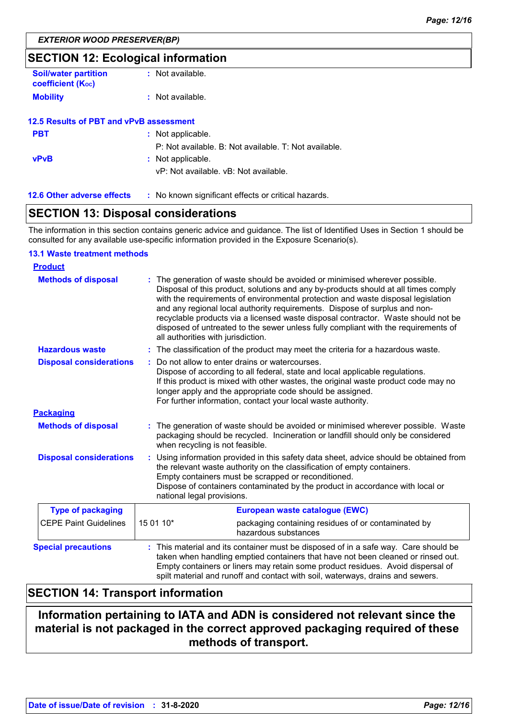## **SECTION 12: Ecological information**

| <b>Soil/water partition</b><br><b>coefficient (Koc)</b> | : Not available.                        |
|---------------------------------------------------------|-----------------------------------------|
| <b>Mobility</b>                                         | $:$ Not available.                      |
|                                                         | 12.5 Results of PBT and vPvB assessment |
| <b>PBT</b>                                              | : Not applicable.                       |
|                                                         | P: Not available, B: Not available.     |
| <b>vPvB</b>                                             | : Not applicable.                       |

vP: Not available. vB: Not available.

**12.6 Other adverse effects** : No known significant effects or critical hazards.

# **SECTION 13: Disposal considerations**

The information in this section contains generic advice and guidance. The list of Identified Uses in Section 1 should be consulted for any available use-specific information provided in the Exposure Scenario(s).

T: Not available.

#### **13.1 Waste treatment methods**

| <b>Product</b>                 |                                                                                                                                                                                                                                                                                                                                                                                                                                                                                                                                                      |  |
|--------------------------------|------------------------------------------------------------------------------------------------------------------------------------------------------------------------------------------------------------------------------------------------------------------------------------------------------------------------------------------------------------------------------------------------------------------------------------------------------------------------------------------------------------------------------------------------------|--|
| <b>Methods of disposal</b>     | : The generation of waste should be avoided or minimised wherever possible.<br>Disposal of this product, solutions and any by-products should at all times comply<br>with the requirements of environmental protection and waste disposal legislation<br>and any regional local authority requirements. Dispose of surplus and non-<br>recyclable products via a licensed waste disposal contractor. Waste should not be<br>disposed of untreated to the sewer unless fully compliant with the requirements of<br>all authorities with jurisdiction. |  |
| <b>Hazardous waste</b>         | : The classification of the product may meet the criteria for a hazardous waste.                                                                                                                                                                                                                                                                                                                                                                                                                                                                     |  |
| <b>Disposal considerations</b> | Do not allow to enter drains or watercourses.<br>Dispose of according to all federal, state and local applicable regulations.<br>If this product is mixed with other wastes, the original waste product code may no<br>longer apply and the appropriate code should be assigned.<br>For further information, contact your local waste authority.                                                                                                                                                                                                     |  |
| <b>Packaging</b>               |                                                                                                                                                                                                                                                                                                                                                                                                                                                                                                                                                      |  |
| <b>Methods of disposal</b>     | : The generation of waste should be avoided or minimised wherever possible. Waste<br>packaging should be recycled. Incineration or landfill should only be considered<br>when recycling is not feasible.                                                                                                                                                                                                                                                                                                                                             |  |
| <b>Disposal considerations</b> | Using information provided in this safety data sheet, advice should be obtained from<br>the relevant waste authority on the classification of empty containers.<br>Empty containers must be scrapped or reconditioned.<br>Dispose of containers contaminated by the product in accordance with local or<br>national legal provisions.                                                                                                                                                                                                                |  |
| <b>Type of packaging</b>       | European waste catalogue (EWC)                                                                                                                                                                                                                                                                                                                                                                                                                                                                                                                       |  |
| <b>CEPE Paint Guidelines</b>   | 15 01 10*<br>packaging containing residues of or contaminated by<br>hazardous substances                                                                                                                                                                                                                                                                                                                                                                                                                                                             |  |
| <b>Special precautions</b>     | This material and its container must be disposed of in a safe way. Care should be<br>taken when handling emptied containers that have not been cleaned or rinsed out.<br>Empty containers or liners may retain some product residues. Avoid dispersal of<br>spilt material and runoff and contact with soil, waterways, drains and sewers.                                                                                                                                                                                                           |  |

# **SECTION 14: Transport information**

# **Information pertaining to IATA and ADN is considered not relevant since the material is not packaged in the correct approved packaging required of these methods of transport.**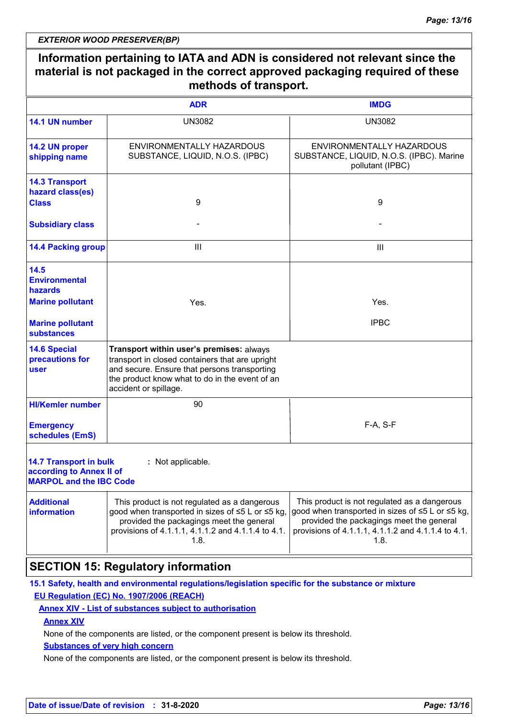#### **Information pertaining to IATA and ADN is considered not relevant since the material is not packaged in the correct approved packaging required of these methods of transport.** ENVIRONMENTALLY HAZARDOUS SUBSTANCE, LIQUID, N.O.S. (IPBC) 9 ENVIRONMENTALLY HAZARDOUS SUBSTANCE, LIQUID, N.O.S. (IPBC). Marine pollutant (IPBC) 9 UN3082 UN3082 **ADR IMDG 14.1 UN number 14.2 UN proper shipping name 14.3 Transport hazard class(es) Class**

| <b>14.4 Packing group</b>                                                                                        | Ш                                                                                                                                                                                                                      | Ш                                                                                                                                                                                                          |  |
|------------------------------------------------------------------------------------------------------------------|------------------------------------------------------------------------------------------------------------------------------------------------------------------------------------------------------------------------|------------------------------------------------------------------------------------------------------------------------------------------------------------------------------------------------------------|--|
| 14.5<br><b>Environmental</b><br>hazards                                                                          |                                                                                                                                                                                                                        |                                                                                                                                                                                                            |  |
| <b>Marine pollutant</b>                                                                                          | Yes.                                                                                                                                                                                                                   | Yes.                                                                                                                                                                                                       |  |
| <b>Marine pollutant</b><br>substances                                                                            |                                                                                                                                                                                                                        | <b>IPBC</b>                                                                                                                                                                                                |  |
| <b>14.6 Special</b><br>precautions for<br>user                                                                   | Transport within user's premises: always<br>transport in closed containers that are upright<br>and secure. Ensure that persons transporting<br>the product know what to do in the event of an<br>accident or spillage. |                                                                                                                                                                                                            |  |
| <b>HI/Kemler number</b>                                                                                          | 90                                                                                                                                                                                                                     |                                                                                                                                                                                                            |  |
| <b>Emergency</b><br>schedules (EmS)                                                                              |                                                                                                                                                                                                                        | F-A, S-F                                                                                                                                                                                                   |  |
| <b>14.7 Transport in bulk</b><br>: Not applicable.<br>according to Annex II of<br><b>MARPOL and the IBC Code</b> |                                                                                                                                                                                                                        |                                                                                                                                                                                                            |  |
| <b>Additional</b><br><b>information</b>                                                                          | This product is not regulated as a dangerous<br>good when transported in sizes of ≤5 L or ≤5 kg,<br>provided the packagings meet the general<br>provisions of 4.1.1.1, 4.1.1.2 and 4.1.1.4 to 4.1.<br>1.8.             | This product is not regulated as a dangerous<br>good when transported in sizes of ≤5 L or ≤5 kg,<br>provided the packagings meet the general<br>provisions of 4.1.1.1, 4.1.1.2 and 4.1.1.4 to 4.1.<br>1.8. |  |

# **SECTION 15: Regulatory information**

**15.1 Safety, health and environmental regulations/legislation specific for the substance or mixture EU Regulation (EC) No. 1907/2006 (REACH)**

### **Annex XIV - List of substances subject to authorisation**

**Annex XIV**

**Subsidiary class** 

None of the components are listed, or the component present is below its threshold.

#### **Substances of very high concern**

None of the components are listed, or the component present is below its threshold.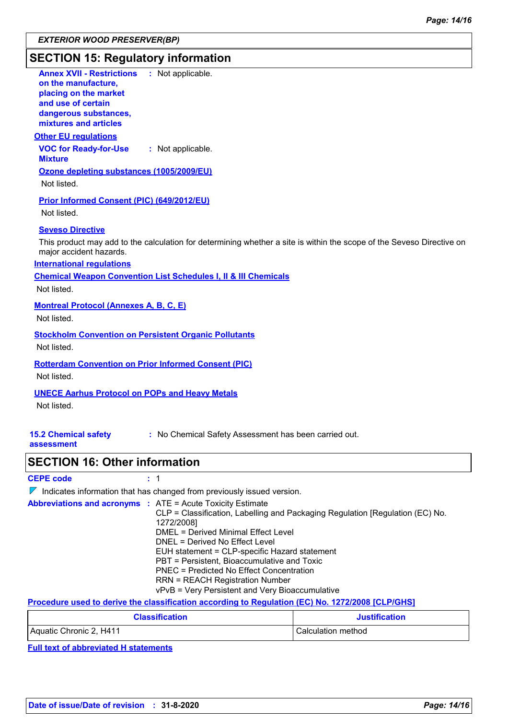# **SECTION 15: Regulatory information**

| <b>Annex XVII - Restrictions</b><br>: Not applicable.                                                                 |
|-----------------------------------------------------------------------------------------------------------------------|
| on the manufacture,<br>placing on the market                                                                          |
| and use of certain                                                                                                    |
| dangerous substances,<br>mixtures and articles                                                                        |
| <b>Other EU requlations</b>                                                                                           |
| <b>VOC for Ready-for-Use</b><br>: Not applicable.                                                                     |
| <b>Mixture</b>                                                                                                        |
| Ozone depleting substances (1005/2009/EU)                                                                             |
| Not listed.                                                                                                           |
| Prior Informed Consent (PIC) (649/2012/EU)                                                                            |
| Not listed.                                                                                                           |
| <b>Seveso Directive</b>                                                                                               |
| This product may add to the calculation for determining whether a site is within the scope of the Seveso Directive on |
| major accident hazards.                                                                                               |
| <b>International requlations</b>                                                                                      |
| <b>Chemical Weapon Convention List Schedules I, II &amp; III Chemicals</b>                                            |
| Not listed.                                                                                                           |
| <b>Montreal Protocol (Annexes A, B, C, E)</b>                                                                         |
| Not listed.                                                                                                           |
| <b>Stockholm Convention on Persistent Organic Pollutants</b>                                                          |
| Not listed.                                                                                                           |
| <b>Rotterdam Convention on Prior Informed Consent (PIC)</b>                                                           |
| Not listed.                                                                                                           |
| <b>UNECE Aarhus Protocol on POPs and Heavy Metals</b>                                                                 |
| Not listed.                                                                                                           |
|                                                                                                                       |
| <b>15.2 Chemical safety</b><br>: No Chemical Safety Assessment has been carried out.                                  |
| assessment                                                                                                            |
| <b>SECTION 16: Other information</b>                                                                                  |
| <b>CEPE code</b><br>: 1                                                                                               |
| $\nabla$ Indicates information that has changed from previously issued version.                                       |
|                                                                                                                       |

|  | <b>Abbreviations and acronyms : ATE = Acute Toxicity Estimate</b>             |
|--|-------------------------------------------------------------------------------|
|  | CLP = Classification, Labelling and Packaging Regulation [Regulation (EC) No. |
|  | 1272/2008]                                                                    |
|  | DMEL = Derived Minimal Effect Level                                           |
|  | DNEL = Derived No Effect Level                                                |
|  | EUH statement = CLP-specific Hazard statement                                 |
|  | PBT = Persistent, Bioaccumulative and Toxic                                   |
|  | PNEC = Predicted No Effect Concentration                                      |
|  | <b>RRN = REACH Registration Number</b>                                        |
|  | vPvB = Very Persistent and Very Bioaccumulative                               |
|  |                                                                               |

**Procedure used to derive the classification according to Regulation (EC) No. 1272/2008 [CLP/GHS]**

| <b>Classification</b>   | <b>Justification</b> |
|-------------------------|----------------------|
| Aquatic Chronic 2, H411 | Calculation method   |

**Full text of abbreviated H statements**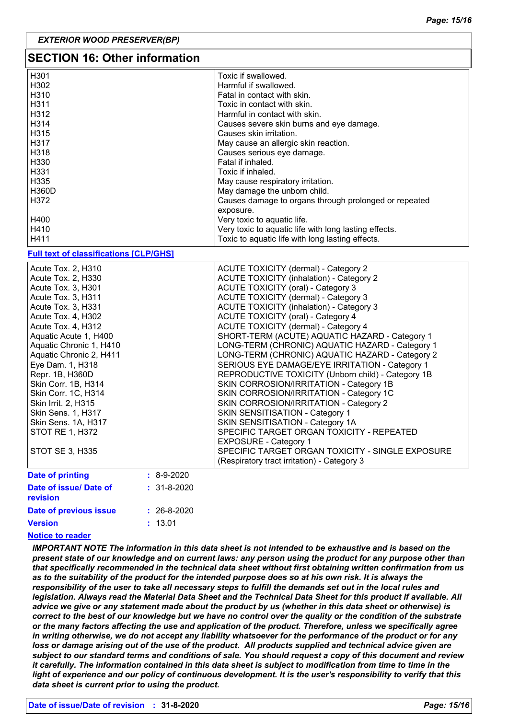| <b>SECTION 16: Other information</b>          |                                                       |  |
|-----------------------------------------------|-------------------------------------------------------|--|
| H301                                          | Toxic if swallowed.                                   |  |
| H302                                          | Harmful if swallowed.                                 |  |
| H310                                          | Fatal in contact with skin.                           |  |
| H311                                          | Toxic in contact with skin.                           |  |
| H312                                          | Harmful in contact with skin.                         |  |
| H314                                          | Causes severe skin burns and eye damage.              |  |
| H315                                          | Causes skin irritation.                               |  |
| H317                                          | May cause an allergic skin reaction.                  |  |
| H318                                          | Causes serious eye damage.                            |  |
| H330                                          | Fatal if inhaled.                                     |  |
| H331                                          | Toxic if inhaled.                                     |  |
| H335                                          | May cause respiratory irritation.                     |  |
| H360D                                         | May damage the unborn child.                          |  |
| H372                                          | Causes damage to organs through prolonged or repeated |  |
|                                               | exposure.                                             |  |
| H400                                          | Very toxic to aquatic life.                           |  |
| H410                                          | Very toxic to aquatic life with long lasting effects. |  |
| H411                                          | Toxic to aquatic life with long lasting effects.      |  |
|                                               |                                                       |  |
| <b>Full text of classifications [CLP/GHS]</b> |                                                       |  |
| Acute Tox. 2, H310                            | <b>ACUTE TOXICITY (dermal) - Category 2</b>           |  |
| Acute Tox. 2, H330                            | <b>ACUTE TOXICITY (inhalation) - Category 2</b>       |  |
| Acute Tox. 3, H301                            | <b>ACUTE TOXICITY (oral) - Category 3</b>             |  |
| Acute Tox. 3, H311                            | ACUTE TOXICITY (dermal) - Category 3                  |  |
| Acute Tox. 3, H331                            | <b>ACUTE TOXICITY (inhalation) - Category 3</b>       |  |
| Acute Tox. 4, H302                            | ACUTE TOXICITY (oral) - Category 4                    |  |
| Acute Tox. 4, H312                            | ACUTE TOXICITY (dermal) - Category 4                  |  |
| Aquatic Acute 1, H400                         | SHORT-TERM (ACUTE) AQUATIC HAZARD - Category 1        |  |
| Aquatic Chronic 1, H410                       | LONG-TERM (CHRONIC) AQUATIC HAZARD - Category 1       |  |
| Aquatic Chronic 2, H411                       | LONG-TERM (CHRONIC) AQUATIC HAZARD - Category 2       |  |
| Eye Dam. 1, H318                              | SERIOUS EYE DAMAGE/EYE IRRITATION - Category 1        |  |
| Repr. 1B, H360D                               | REPRODUCTIVE TOXICITY (Unborn child) - Category 1B    |  |
| Skin Corr. 1B, H314                           | SKIN CORROSION/IRRITATION - Category 1B               |  |
| Skin Corr. 1C, H314                           | SKIN CORROSION/IRRITATION - Category 1C               |  |
| Skin Irrit. 2, H315                           | SKIN CORROSION/IRRITATION - Category 2                |  |
| Skin Sens. 1, H317                            | SKIN SENSITISATION - Category 1                       |  |
| Skin Sens. 1A, H317                           | SKIN SENSITISATION - Category 1A                      |  |
| <b>STOT RE 1, H372</b>                        | SPECIFIC TARGET ORGAN TOXICITY - REPEATED             |  |
|                                               | <b>EXPOSURE - Category 1</b>                          |  |
| <b>STOT SE 3, H335</b>                        | SPECIFIC TARGET ORGAN TOXICITY - SINGLE EXPOSURE      |  |
|                                               | (Respiratory tract irritation) - Category 3           |  |
| <b>Date of printing</b><br>$: 8-9-2020$       |                                                       |  |
| Date of issue/ Date of<br>$: 31 - 8 - 2020$   |                                                       |  |
| revision                                      |                                                       |  |
|                                               |                                                       |  |
| Date of previous issue<br>$: 26 - 8 - 2020$   |                                                       |  |

**Version**

#### **Notice to reader**

*IMPORTANT NOTE The information in this data sheet is not intended to be exhaustive and is based on the present state of our knowledge and on current laws: any person using the product for any purpose other than that specifically recommended in the technical data sheet without first obtaining written confirmation from us as to the suitability of the product for the intended purpose does so at his own risk. It is always the responsibility of the user to take all necessary steps to fulfill the demands set out in the local rules and legislation. Always read the Material Data Sheet and the Technical Data Sheet for this product if available. All advice we give or any statement made about the product by us (whether in this data sheet or otherwise) is correct to the best of our knowledge but we have no control over the quality or the condition of the substrate or the many factors affecting the use and application of the product. Therefore, unless we specifically agree in writing otherwise, we do not accept any liability whatsoever for the performance of the product or for any*  loss or damage arising out of the use of the product. All products supplied and technical advice given are *subject to our standard terms and conditions of sale. You should request a copy of this document and review it carefully. The information contained in this data sheet is subject to modification from time to time in the light of experience and our policy of continuous development. It is the user's responsibility to verify that this data sheet is current prior to using the product.*

13.01 **:**